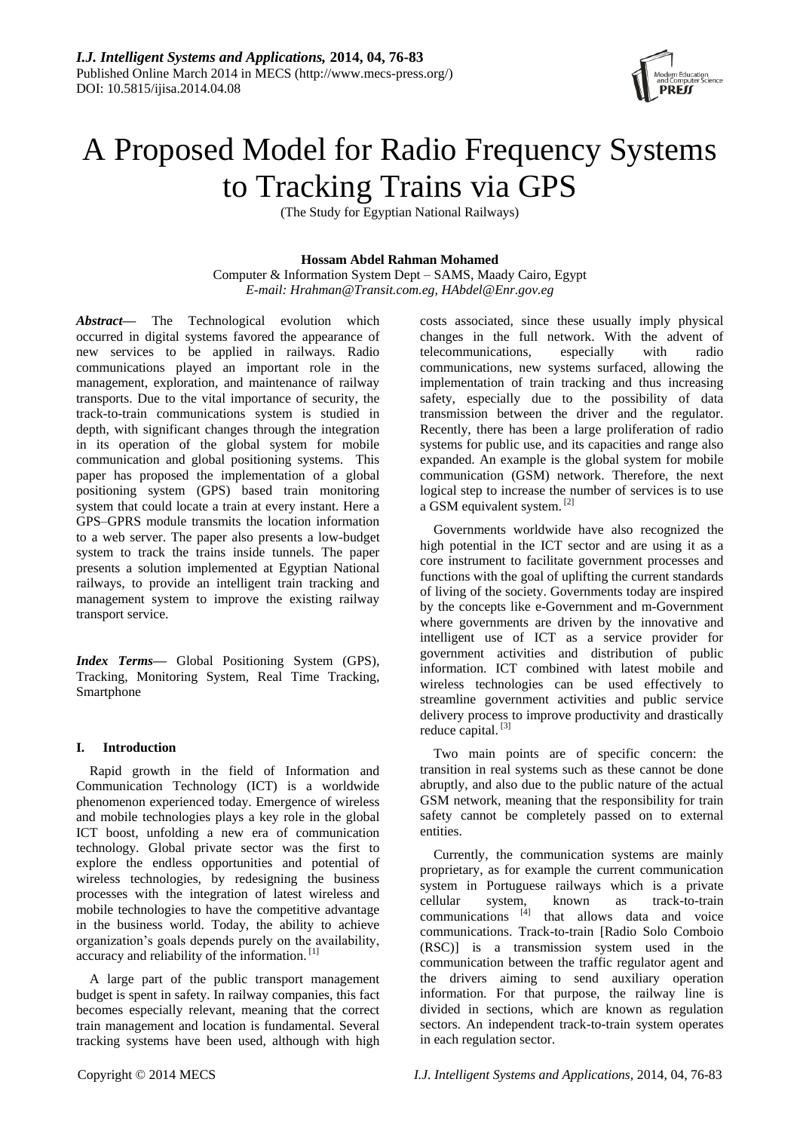

# A Proposed Model for Radio Frequency Systems to Tracking Trains via GPS

(The Study for Egyptian National Railways)

# **Hossam Abdel Rahman Mohamed**

Computer & Information System Dept – SAMS, Maady Cairo, Egypt *E-mail: Hrahman@Transit.com.eg, HAbdel@Enr.gov.eg*

*Abstract***—** The Technological evolution which occurred in digital systems favored the appearance of new services to be applied in railways. Radio communications played an important role in the management, exploration, and maintenance of railway transports. Due to the vital importance of security, the track-to-train communications system is studied in depth, with significant changes through the integration in its operation of the global system for mobile communication and global positioning systems. This paper has proposed the implementation of a global positioning system (GPS) based train monitoring system that could locate a train at every instant. Here a GPS–GPRS module transmits the location information to a web server. The paper also presents a low-budget system to track the trains inside tunnels. The paper presents a solution implemented at Egyptian National railways, to provide an intelligent train tracking and management system to improve the existing railway transport service.

*Index Terms***—** Global Positioning System (GPS), Tracking, Monitoring System, Real Time Tracking, Smartphone

# **I. Introduction**

Rapid growth in the field of Information and Communication Technology (ICT) is a worldwide phenomenon experienced today. Emergence of wireless and mobile technologies plays a key role in the global ICT boost, unfolding a new era of communication technology. Global private sector was the first to explore the endless opportunities and potential of wireless technologies, by redesigning the business processes with the integration of latest wireless and mobile technologies to have the competitive advantage in the business world. Today, the ability to achieve organization's goals depends purely on the availability, accuracy and reliability of the information. [1]

A large part of the public transport management budget is spent in safety. In railway companies, this fact becomes especially relevant, meaning that the correct train management and location is fundamental. Several tracking systems have been used, although with high

costs associated, since these usually imply physical changes in the full network. With the advent of telecommunications, especially with radio communications, new systems surfaced, allowing the implementation of train tracking and thus increasing safety, especially due to the possibility of data transmission between the driver and the regulator. Recently, there has been a large proliferation of radio systems for public use, and its capacities and range also expanded. An example is the global system for mobile communication (GSM) network. Therefore, the next logical step to increase the number of services is to use a GSM equivalent system. [2]

Governments worldwide have also recognized the high potential in the ICT sector and are using it as a core instrument to facilitate government processes and functions with the goal of uplifting the current standards of living of the society. Governments today are inspired by the concepts like e-Government and m-Government where governments are driven by the innovative and intelligent use of ICT as a service provider for government activities and distribution of public information. ICT combined with latest mobile and wireless technologies can be used effectively to streamline government activities and public service delivery process to improve productivity and drastically reduce capital.<sup>[3]</sup>

Two main points are of specific concern: the transition in real systems such as these cannot be done abruptly, and also due to the public nature of the actual GSM network, meaning that the responsibility for train safety cannot be completely passed on to external entities.

Currently, the communication systems are mainly proprietary, as for example the current communication system in Portuguese railways which is a private cellular system, known as track-to-train communications  $[4]$  that allows data and voice communications. Track-to-train [Radio Solo Comboio (RSC)] is a transmission system used in the communication between the traffic regulator agent and the drivers aiming to send auxiliary operation information. For that purpose, the railway line is divided in sections, which are known as regulation sectors. An independent track-to-train system operates in each regulation sector.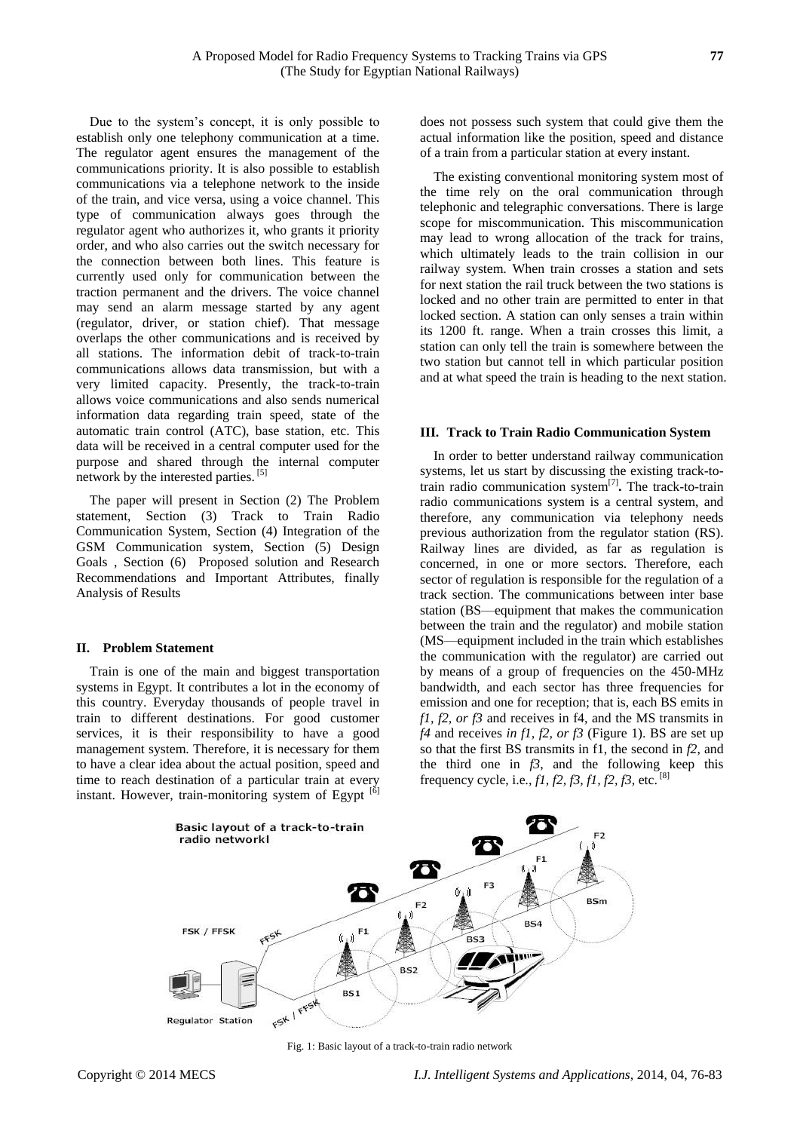Due to the system's concept, it is only possible to establish only one telephony communication at a time. The regulator agent ensures the management of the communications priority. It is also possible to establish communications via a telephone network to the inside of the train, and vice versa, using a voice channel. This type of communication always goes through the regulator agent who authorizes it, who grants it priority order, and who also carries out the switch necessary for the connection between both lines. This feature is currently used only for communication between the traction permanent and the drivers. The voice channel may send an alarm message started by any agent (regulator, driver, or station chief). That message overlaps the other communications and is received by all stations. The information debit of track-to-train communications allows data transmission, but with a very limited capacity. Presently, the track-to-train allows voice communications and also sends numerical information data regarding train speed, state of the automatic train control (ATC), base station, etc. This data will be received in a central computer used for the purpose and shared through the internal computer network by the interested parties. [5]

The paper will present in Section (2) The Problem statement, Section (3) Track to Train Radio Communication System, Section (4) Integration of the GSM Communication system, Section (5) Design Goals , Section (6) Proposed solution and Research Recommendations and Important Attributes, finally Analysis of Results

## **II. Problem Statement**

Train is one of the main and biggest transportation systems in Egypt. It contributes a lot in the economy of this country. Everyday thousands of people travel in train to different destinations. For good customer services, it is their responsibility to have a good management system. Therefore, it is necessary for them to have a clear idea about the actual position, speed and time to reach destination of a particular train at every instant. However, train-monitoring system of Egypt [6]

does not possess such system that could give them the actual information like the position, speed and distance of a train from a particular station at every instant.

The existing conventional monitoring system most of the time rely on the oral communication through telephonic and telegraphic conversations. There is large scope for miscommunication. This miscommunication may lead to wrong allocation of the track for trains, which ultimately leads to the train collision in our railway system. When train crosses a station and sets for next station the rail truck between the two stations is locked and no other train are permitted to enter in that locked section. A station can only senses a train within its 1200 ft. range. When a train crosses this limit, a station can only tell the train is somewhere between the two station but cannot tell in which particular position and at what speed the train is heading to the next station.

#### **III. Track to Train Radio Communication System**

In order to better understand railway communication systems, let us start by discussing the existing track-totrain radio communication system[7] **.** The track-to-train radio communications system is a central system, and therefore, any communication via telephony needs previous authorization from the regulator station (RS). Railway lines are divided, as far as regulation is concerned, in one or more sectors. Therefore, each sector of regulation is responsible for the regulation of a track section. The communications between inter base station (BS—equipment that makes the communication between the train and the regulator) and mobile station (MS—equipment included in the train which establishes the communication with the regulator) are carried out by means of a group of frequencies on the 450-MHz bandwidth, and each sector has three frequencies for emission and one for reception; that is, each BS emits in *f1, f2, or f3* and receives in f4, and the MS transmits in *f4* and receives *in f1, f2, or f3* (Figure 1). BS are set up so that the first BS transmits in f1, the second in *f2*, and the third one in *f3*, and the following keep this frequency cycle, i.e*., f1, f2, f3, f1, f2, f3,* etc. [8]



Fig. 1: Basic layout of a track-to-train radio network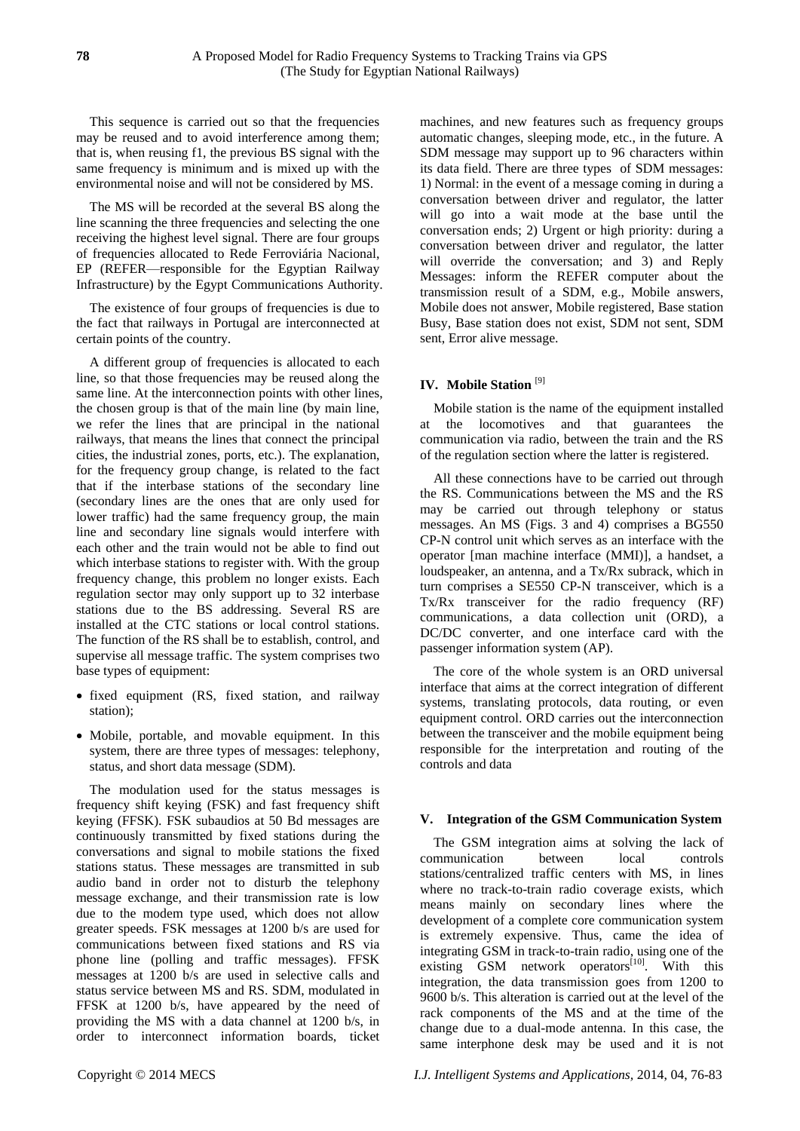This sequence is carried out so that the frequencies may be reused and to avoid interference among them; that is, when reusing f1, the previous BS signal with the same frequency is minimum and is mixed up with the environmental noise and will not be considered by MS.

The MS will be recorded at the several BS along the line scanning the three frequencies and selecting the one receiving the highest level signal. There are four groups of frequencies allocated to Rede Ferroviária Nacional, EP (REFER—responsible for the Egyptian Railway Infrastructure) by the Egypt Communications Authority.

The existence of four groups of frequencies is due to the fact that railways in Portugal are interconnected at certain points of the country.

A different group of frequencies is allocated to each line, so that those frequencies may be reused along the same line. At the interconnection points with other lines, the chosen group is that of the main line (by main line, we refer the lines that are principal in the national railways, that means the lines that connect the principal cities, the industrial zones, ports, etc.). The explanation, for the frequency group change, is related to the fact that if the interbase stations of the secondary line (secondary lines are the ones that are only used for lower traffic) had the same frequency group, the main line and secondary line signals would interfere with each other and the train would not be able to find out which interbase stations to register with. With the group frequency change, this problem no longer exists. Each regulation sector may only support up to 32 interbase stations due to the BS addressing. Several RS are installed at the CTC stations or local control stations. The function of the RS shall be to establish, control, and supervise all message traffic. The system comprises two base types of equipment:

- fixed equipment (RS, fixed station, and railway station);
- Mobile, portable, and movable equipment. In this system, there are three types of messages: telephony, status, and short data message (SDM).

The modulation used for the status messages is frequency shift keying (FSK) and fast frequency shift keying (FFSK). FSK subaudios at 50 Bd messages are continuously transmitted by fixed stations during the conversations and signal to mobile stations the fixed stations status. These messages are transmitted in sub audio band in order not to disturb the telephony message exchange, and their transmission rate is low due to the modem type used, which does not allow greater speeds. FSK messages at 1200 b/s are used for communications between fixed stations and RS via phone line (polling and traffic messages). FFSK messages at 1200 b/s are used in selective calls and status service between MS and RS. SDM, modulated in FFSK at 1200 b/s, have appeared by the need of providing the MS with a data channel at 1200 b/s, in order to interconnect information boards, ticket

machines, and new features such as frequency groups automatic changes, sleeping mode, etc., in the future. A SDM message may support up to 96 characters within its data field. There are three types of SDM messages: 1) Normal: in the event of a message coming in during a conversation between driver and regulator, the latter will go into a wait mode at the base until the conversation ends; 2) Urgent or high priority: during a conversation between driver and regulator, the latter will override the conversation; and 3) and Reply Messages: inform the REFER computer about the transmission result of a SDM, e.g., Mobile answers, Mobile does not answer, Mobile registered, Base station Busy, Base station does not exist, SDM not sent, SDM sent, Error alive message.

#### **IV. Mobile Station** [9]

(The Study for Egyptian National Railways)

Mobile station is the name of the equipment installed at the locomotives and that guarantees the communication via radio, between the train and the RS of the regulation section where the latter is registered.

All these connections have to be carried out through the RS. Communications between the MS and the RS may be carried out through telephony or status messages. An MS (Figs. 3 and 4) comprises a BG550 CP-N control unit which serves as an interface with the operator [man machine interface (MMI)], a handset, a loudspeaker, an antenna, and a Tx/Rx subrack, which in turn comprises a SE550 CP-N transceiver, which is a Tx/Rx transceiver for the radio frequency (RF) communications, a data collection unit (ORD), a DC/DC converter, and one interface card with the passenger information system (AP).

The core of the whole system is an ORD universal interface that aims at the correct integration of different systems, translating protocols, data routing, or even equipment control. ORD carries out the interconnection between the transceiver and the mobile equipment being responsible for the interpretation and routing of the controls and data

## **V. Integration of the GSM Communication System**

The GSM integration aims at solving the lack of communication between local controls stations/centralized traffic centers with MS, in lines where no track-to-train radio coverage exists, which means mainly on secondary lines where the development of a complete core communication system is extremely expensive. Thus, came the idea of integrating GSM in track-to-train radio, using one of the existing GSM network operators $[10]$ . With this integration, the data transmission goes from 1200 to 9600 b/s. This alteration is carried out at the level of the rack components of the MS and at the time of the change due to a dual-mode antenna. In this case, the same interphone desk may be used and it is not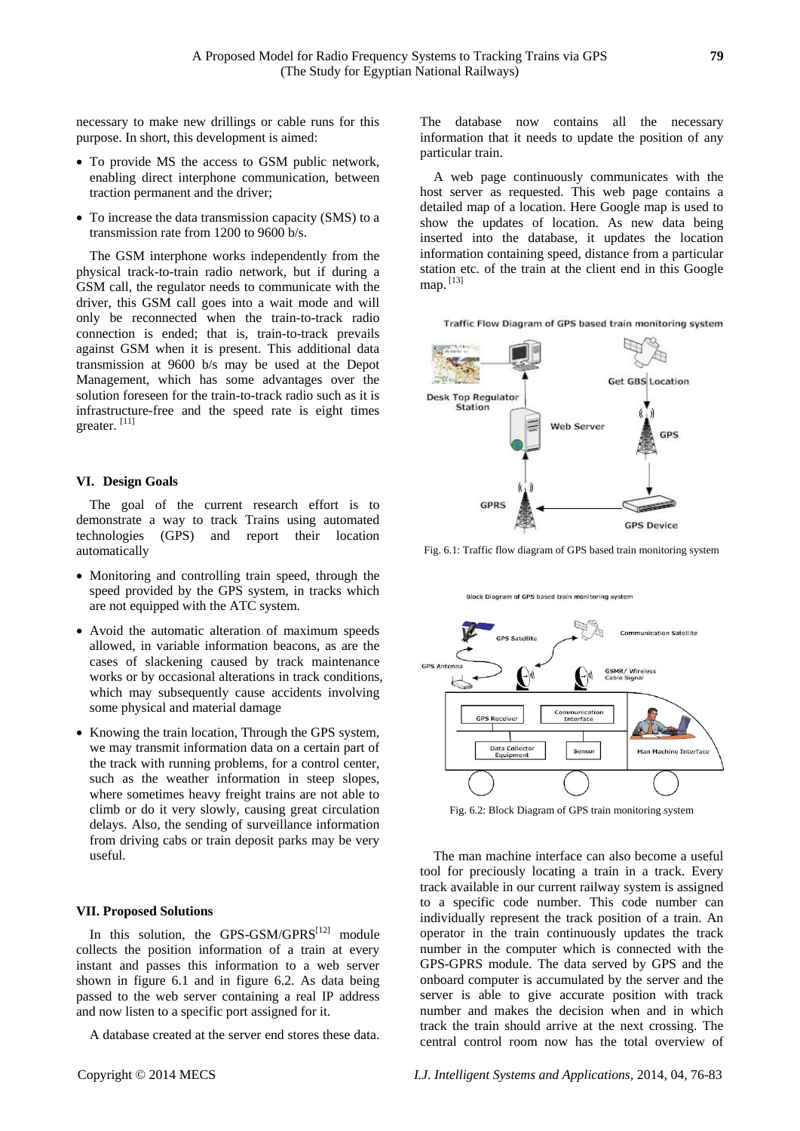necessary to make new drillings or cable runs for this purpose. In short, this development is aimed:

- To provide MS the access to GSM public network, enabling direct interphone communication, between traction permanent and the driver;
- To increase the data transmission capacity (SMS) to a transmission rate from 1200 to 9600 b/s.

The GSM interphone works independently from the physical track-to-train radio network, but if during a GSM call, the regulator needs to communicate with the driver, this GSM call goes into a wait mode and will only be reconnected when the train-to-track radio connection is ended; that is, train-to-track prevails against GSM when it is present. This additional data transmission at 9600 b/s may be used at the Depot Management, which has some advantages over the solution foreseen for the train-to-track radio such as it is infrastructure-free and the speed rate is eight times greater. [11]

## **VI. Design Goals**

The goal of the current research effort is to demonstrate a way to track Trains using automated technologies (GPS) and report their location automatically

- Monitoring and controlling train speed, through the speed provided by the GPS system, in tracks which are not equipped with the ATC system.
- Avoid the automatic alteration of maximum speeds allowed, in variable information beacons, as are the cases of slackening caused by track maintenance works or by occasional alterations in track conditions, which may subsequently cause accidents involving some physical and material damage
- Knowing the train location, Through the GPS system, we may transmit information data on a certain part of the track with running problems, for a control center, such as the weather information in steep slopes, where sometimes heavy freight trains are not able to climb or do it very slowly, causing great circulation delays. Also, the sending of surveillance information from driving cabs or train deposit parks may be very useful.

#### **VII. Proposed Solutions**

In this solution, the GPS-GSM/GPRS<sup>[12]</sup> module collects the position information of a train at every instant and passes this information to a web server shown in figure 6.1 and in figure 6.2. As data being passed to the web server containing a real IP address and now listen to a specific port assigned for it.

A database created at the server end stores these data.

The database now contains all the necessary information that it needs to update the position of any particular train.

A web page continuously communicates with the host server as requested. This web page contains a detailed map of a location. Here Google map is used to show the updates of location. As new data being inserted into the database, it updates the location information containing speed, distance from a particular station etc. of the train at the client end in this Google map. [13]

Traffic Flow Diagram of GPS based train monitoring system



Fig. 6.1: Traffic flow diagram of GPS based train monitoring system

Block Diagram of GPS based train monitoring system



Fig. 6.2: Block Diagram of GPS train monitoring system

The man machine interface can also become a useful tool for preciously locating a train in a track. Every track available in our current railway system is assigned to a specific code number. This code number can individually represent the track position of a train. An operator in the train continuously updates the track number in the computer which is connected with the GPS-GPRS module. The data served by GPS and the onboard computer is accumulated by the server and the server is able to give accurate position with track number and makes the decision when and in which track the train should arrive at the next crossing. The central control room now has the total overview of

Copyright © 2014 MECS *I.J. Intelligent Systems and Applications,* 2014, 04, 76-83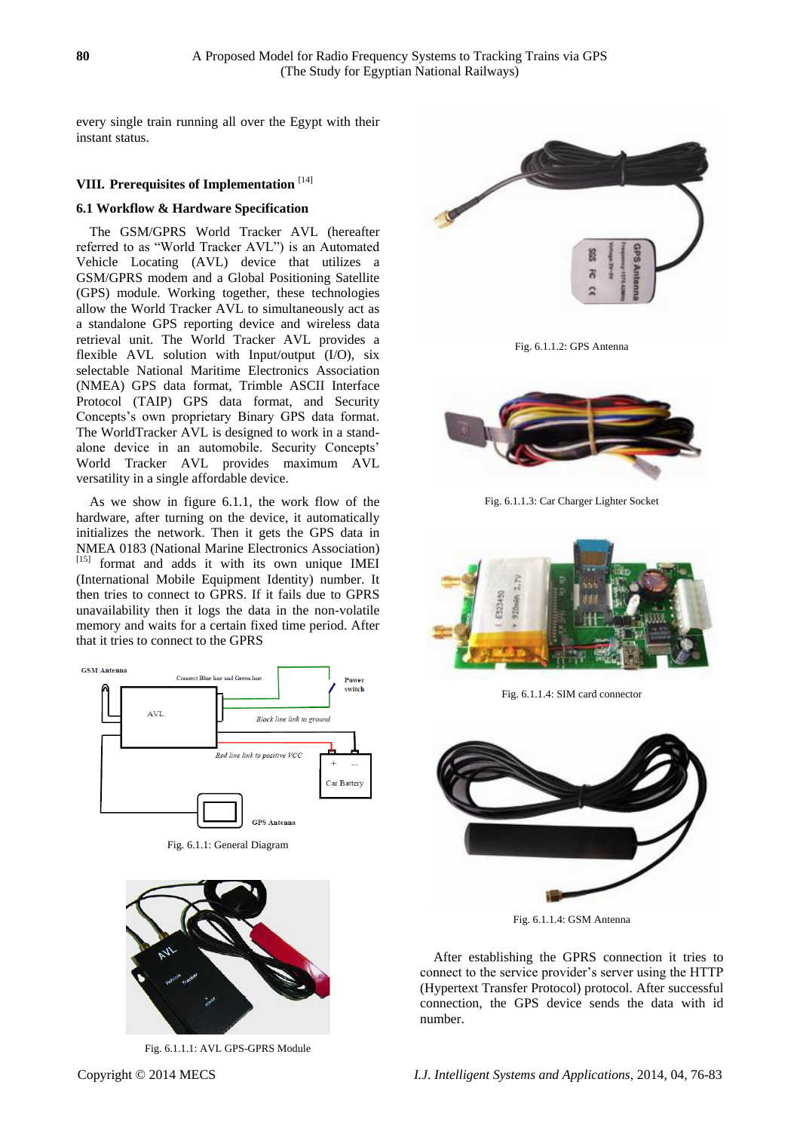every single train running all over the Egypt with their instant status.

# **VIII. Prerequisites of Implementation** [14]

# **6.1 Workflow & Hardware Specification**

The GSM/GPRS World Tracker AVL (hereafter referred to as "World Tracker AVL") is an Automated Vehicle Locating (AVL) device that utilizes a GSM/GPRS modem and a Global Positioning Satellite (GPS) module. Working together, these technologies allow the World Tracker AVL to simultaneously act as a standalone GPS reporting device and wireless data retrieval unit. The World Tracker AVL provides a flexible AVL solution with Input/output (I/O), six selectable National Maritime Electronics Association (NMEA) GPS data format, Trimble ASCII Interface Protocol (TAIP) GPS data format, and Security Concepts's own proprietary Binary GPS data format. The WorldTracker AVL is designed to work in a standalone device in an automobile. Security Concepts' World Tracker AVL provides maximum AVL versatility in a single affordable device.

As we show in figure 6.1.1, the work flow of the hardware, after turning on the device, it automatically initializes the network. Then it gets the GPS data in NMEA 0183 (National Marine Electronics Association) [15] format and adds it with its own unique IMEI (International Mobile Equipment Identity) number. It then tries to connect to GPRS. If it fails due to GPRS unavailability then it logs the data in the non-volatile memory and waits for a certain fixed time period. After that it tries to connect to the GPRS



Fig. 6.1.1: General Diagram



Fig. 6.1.1.1: AVL GPS-GPRS Module



Fig. 6.1.1.2: GPS Antenna



Fig. 6.1.1.3: Car Charger Lighter Socket



Fig. 6.1.1.4: SIM card connector



Fig. 6.1.1.4: GSM Antenna

After establishing the GPRS connection it tries to connect to the service provider's server using the HTTP (Hypertext Transfer Protocol) protocol. After successful connection, the GPS device sends the data with id number.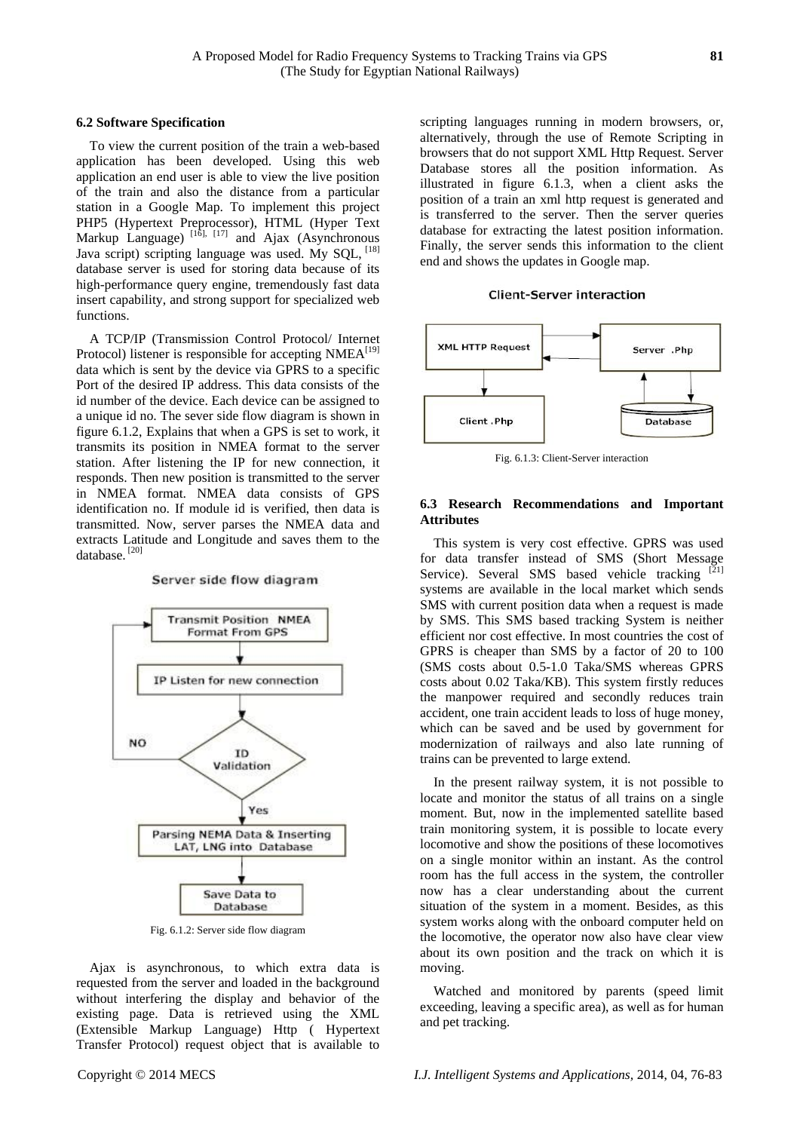#### **6.2 Software Specification**

To view the current position of the train a web-based application has been developed. Using this web application an end user is able to view the live position of the train and also the distance from a particular station in a Google Map. To implement this project PHP5 (Hypertext Preprocessor), HTML (Hyper Text Markup Language)  $^{[1\bar{6}]$ ,  $^{[17]}$  and Ajax (Asynchronous Java script) scripting language was used. My SQL, [18] database server is used for storing data because of its high-performance query engine, tremendously fast data insert capability, and strong support for specialized web functions.

A TCP/IP (Transmission Control Protocol/ Internet Protocol) listener is responsible for accepting  $NMEA^{[19]}$ data which is sent by the device via GPRS to a specific Port of the desired IP address. This data consists of the id number of the device. Each device can be assigned to a unique id no. The sever side flow diagram is shown in figure 6.1.2, Explains that when a GPS is set to work, it transmits its position in NMEA format to the server station. After listening the IP for new connection, it responds. Then new position is transmitted to the server in NMEA format. NMEA data consists of GPS identification no. If module id is verified, then data is transmitted. Now, server parses the NMEA data and extracts Latitude and Longitude and saves them to the database. [20]

#### Server side flow diagram



Fig. 6.1.2: Server side flow diagram

Ajax is asynchronous, to which extra data is requested from the server and loaded in the background without interfering the display and behavior of the existing page. Data is retrieved using the XML (Extensible Markup Language) Http ( Hypertext Transfer Protocol) request object that is available to

scripting languages running in modern browsers, or, alternatively, through the use of Remote Scripting in browsers that do not support XML Http Request. Server Database stores all the position information. As illustrated in figure 6.1.3, when a client asks the position of a train an xml http request is generated and is transferred to the server. Then the server queries database for extracting the latest position information. Finally, the server sends this information to the client end and shows the updates in Google map.

## **Client-Server interaction**



Fig. 6.1.3: Client-Server interaction

# **6.3 Research Recommendations and Important Attributes**

This system is very cost effective. GPRS was used for data transfer instead of SMS (Short Message Service). Several SMS based vehicle tracking systems are available in the local market which sends SMS with current position data when a request is made by SMS. This SMS based tracking System is neither efficient nor cost effective. In most countries the cost of GPRS is cheaper than SMS by a factor of 20 to 100 (SMS costs about 0.5-1.0 Taka/SMS whereas GPRS costs about 0.02 Taka/KB). This system firstly reduces the manpower required and secondly reduces train accident, one train accident leads to loss of huge money, which can be saved and be used by government for modernization of railways and also late running of trains can be prevented to large extend.

In the present railway system, it is not possible to locate and monitor the status of all trains on a single moment. But, now in the implemented satellite based train monitoring system, it is possible to locate every locomotive and show the positions of these locomotives on a single monitor within an instant. As the control room has the full access in the system, the controller now has a clear understanding about the current situation of the system in a moment. Besides, as this system works along with the onboard computer held on the locomotive, the operator now also have clear view about its own position and the track on which it is moving.

Watched and monitored by parents (speed limit exceeding, leaving a specific area), as well as for human and pet tracking.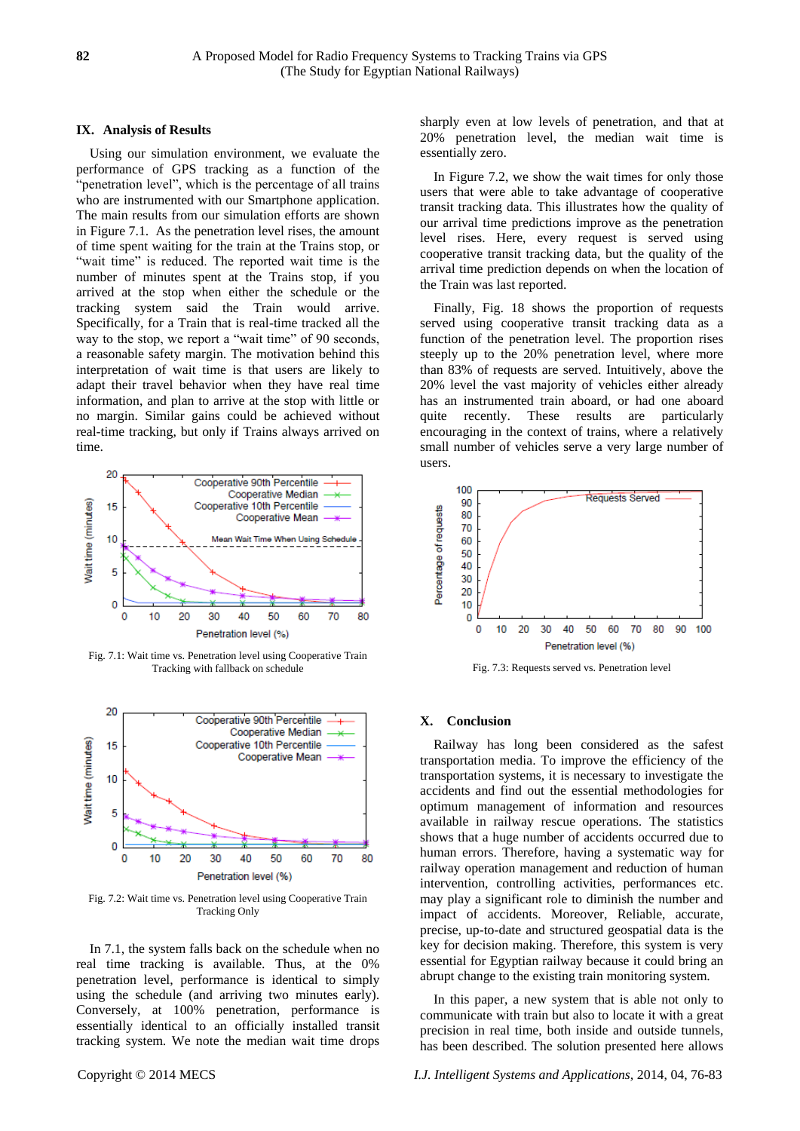## **IX. Analysis of Results**

Using our simulation environment, we evaluate the performance of GPS tracking as a function of the "penetration level", which is the percentage of all trains who are instrumented with our Smartphone application. The main results from our simulation efforts are shown in Figure 7.1. As the penetration level rises, the amount of time spent waiting for the train at the Trains stop, or "wait time" is reduced. The reported wait time is the number of minutes spent at the Trains stop, if you arrived at the stop when either the schedule or the tracking system said the Train would arrive. Specifically, for a Train that is real-time tracked all the way to the stop, we report a "wait time" of 90 seconds, a reasonable safety margin. The motivation behind this interpretation of wait time is that users are likely to adapt their travel behavior when they have real time information, and plan to arrive at the stop with little or no margin. Similar gains could be achieved without real-time tracking, but only if Trains always arrived on time.



Fig. 7.1: Wait time vs. Penetration level using Cooperative Train Tracking with fallback on schedule



Fig. 7.2: Wait time vs. Penetration level using Cooperative Train Tracking Only

In 7.1, the system falls back on the schedule when no real time tracking is available. Thus, at the 0% penetration level, performance is identical to simply using the schedule (and arriving two minutes early). Conversely, at 100% penetration, performance is essentially identical to an officially installed transit tracking system. We note the median wait time drops

sharply even at low levels of penetration, and that at 20% penetration level, the median wait time is essentially zero.

In Figure 7.2, we show the wait times for only those users that were able to take advantage of cooperative transit tracking data. This illustrates how the quality of our arrival time predictions improve as the penetration level rises. Here, every request is served using cooperative transit tracking data, but the quality of the arrival time prediction depends on when the location of the Train was last reported.

Finally, Fig. 18 shows the proportion of requests served using cooperative transit tracking data as a function of the penetration level. The proportion rises steeply up to the 20% penetration level, where more than 83% of requests are served. Intuitively, above the 20% level the vast majority of vehicles either already has an instrumented train aboard, or had one aboard quite recently. These results are particularly encouraging in the context of trains, where a relatively small number of vehicles serve a very large number of users.



Fig. 7.3: Requests served vs. Penetration level

#### **X. Conclusion**

Railway has long been considered as the safest transportation media. To improve the efficiency of the transportation systems, it is necessary to investigate the accidents and find out the essential methodologies for optimum management of information and resources available in railway rescue operations. The statistics shows that a huge number of accidents occurred due to human errors. Therefore, having a systematic way for railway operation management and reduction of human intervention, controlling activities, performances etc. may play a significant role to diminish the number and impact of accidents. Moreover, Reliable, accurate, precise, up-to-date and structured geospatial data is the key for decision making. Therefore, this system is very essential for Egyptian railway because it could bring an abrupt change to the existing train monitoring system.

In this paper, a new system that is able not only to communicate with train but also to locate it with a great precision in real time, both inside and outside tunnels, has been described. The solution presented here allows

Copyright © 2014 MECS *I.J. Intelligent Systems and Applications,* 2014, 04, 76-83